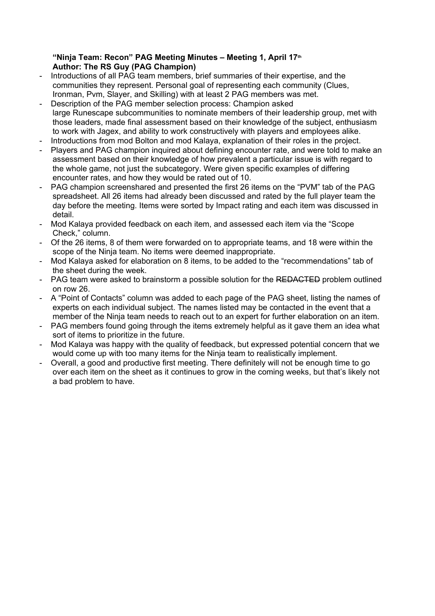## **"Ninja Team: Recon" PAG Meeting Minutes – Meeting 1, April 17th Author: The RS Guy (PAG Champion)**

- Introductions of all PAG team members, brief summaries of their expertise, and the communities they represent. Personal goal of representing each community (Clues, Ironman, Pvm, Slayer, and Skilling) with at least 2 PAG members was met.
- Description of the PAG member selection process: Champion asked large Runescape subcommunities to nominate members of their leadership group, met with those leaders, made final assessment based on their knowledge of the subject, enthusiasm to work with Jagex, and ability to work constructively with players and employees alike.
- Introductions from mod Bolton and mod Kalaya, explanation of their roles in the project.
- Players and PAG champion inquired about defining encounter rate, and were told to make an assessment based on their knowledge of how prevalent a particular issue is with regard to the whole game, not just the subcategory. Were given specific examples of differing encounter rates, and how they would be rated out of 10.
- PAG champion screenshared and presented the first 26 items on the "PVM" tab of the PAG spreadsheet. All 26 items had already been discussed and rated by the full player team the day before the meeting. Items were sorted by Impact rating and each item was discussed in detail.
- Mod Kalaya provided feedback on each item, and assessed each item via the "Scope" Check," column.
- Of the 26 items, 8 of them were forwarded on to appropriate teams, and 18 were within the scope of the Ninja team. No items were deemed inappropriate.
- Mod Kalaya asked for elaboration on 8 items, to be added to the "recommendations" tab of the sheet during the week.
- PAG team were asked to brainstorm a possible solution for the REDACTED problem outlined on row 26.
- A "Point of Contacts" column was added to each page of the PAG sheet, listing the names of experts on each individual subject. The names listed may be contacted in the event that a member of the Ninja team needs to reach out to an expert for further elaboration on an item.
- PAG members found going through the items extremely helpful as it gave them an idea what sort of items to prioritize in the future.
- Mod Kalaya was happy with the quality of feedback, but expressed potential concern that we would come up with too many items for the Ninja team to realistically implement.
- Overall, a good and productive first meeting. There definitely will not be enough time to go over each item on the sheet as it continues to grow in the coming weeks, but that's likely not a bad problem to have.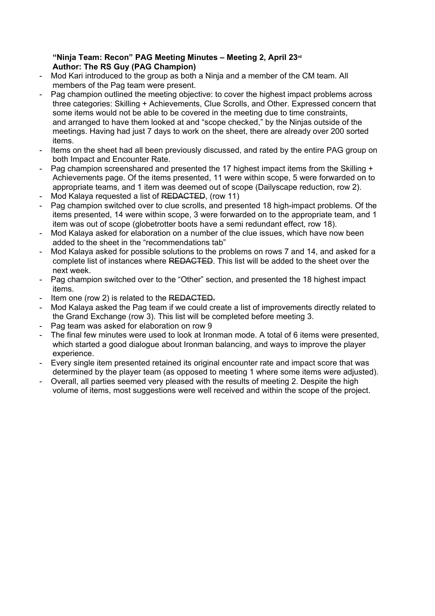## **"Ninja Team: Recon" PAG Meeting Minutes – Meeting 2, April 23rd Author: The RS Guy (PAG Champion)**

- Mod Kari introduced to the group as both a Ninja and a member of the CM team. All members of the Pag team were present.
- Pag champion outlined the meeting objective: to cover the highest impact problems across three categories: Skilling + Achievements, Clue Scrolls, and Other. Expressed concern that some items would not be able to be covered in the meeting due to time constraints, and arranged to have them looked at and "scope checked," by the Ninjas outside of the meetings. Having had just 7 days to work on the sheet, there are already over 200 sorted items.
- Items on the sheet had all been previously discussed, and rated by the entire PAG group on both Impact and Encounter Rate.
- Pag champion screenshared and presented the 17 highest impact items from the Skilling + Achievements page. Of the items presented, 11 were within scope, 5 were forwarded on to appropriate teams, and 1 item was deemed out of scope (Dailyscape reduction, row 2).
- Mod Kalaya requested a list of REDACTED, (row 11)
- Pag champion switched over to clue scrolls, and presented 18 high-impact problems. Of the items presented, 14 were within scope, 3 were forwarded on to the appropriate team, and 1 item was out of scope (globetrotter boots have a semi redundant effect, row 18).
- Mod Kalaya asked for elaboration on a number of the clue issues, which have now been added to the sheet in the "recommendations tab"
- Mod Kalaya asked for possible solutions to the problems on rows 7 and 14, and asked for a complete list of instances where REDACTED. This list will be added to the sheet over the next week.
- Pag champion switched over to the "Other" section, and presented the 18 highest impact items.
- Item one (row 2) is related to the REDACTED.
- Mod Kalaya asked the Pag team if we could create a list of improvements directly related to the Grand Exchange (row 3). This list will be completed before meeting 3.
- Pag team was asked for elaboration on row 9
- The final few minutes were used to look at Ironman mode. A total of 6 items were presented, which started a good dialogue about Ironman balancing, and ways to improve the player experience.
- Every single item presented retained its original encounter rate and impact score that was determined by the player team (as opposed to meeting 1 where some items were adjusted).
- Overall, all parties seemed very pleased with the results of meeting 2. Despite the high volume of items, most suggestions were well received and within the scope of the project.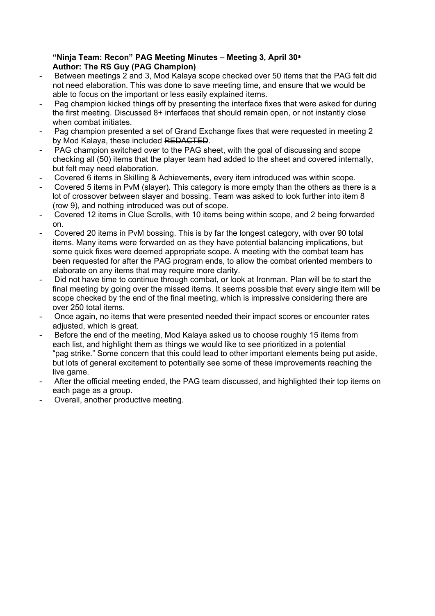## **"Ninja Team: Recon" PAG Meeting Minutes – Meeting 3, April 30th Author: The RS Guy (PAG Champion)**

- Between meetings 2 and 3, Mod Kalaya scope checked over 50 items that the PAG felt did not need elaboration. This was done to save meeting time, and ensure that we would be able to focus on the important or less easily explained items.
- Pag champion kicked things off by presenting the interface fixes that were asked for during the first meeting. Discussed 8+ interfaces that should remain open, or not instantly close when combat initiates.
- Pag champion presented a set of Grand Exchange fixes that were requested in meeting 2 by Mod Kalaya, these included REDACTED.
- PAG champion switched over to the PAG sheet, with the goal of discussing and scope checking all (50) items that the player team had added to the sheet and covered internally, but felt may need elaboration.
- Covered 6 items in Skilling & Achievements, every item introduced was within scope.
- Covered 5 items in PvM (slayer). This category is more empty than the others as there is a lot of crossover between slayer and bossing. Team was asked to look further into item 8 (row 9), and nothing introduced was out of scope.
- Covered 12 items in Clue Scrolls, with 10 items being within scope, and 2 being forwarded on.
- Covered 20 items in PvM bossing. This is by far the longest category, with over 90 total items. Many items were forwarded on as they have potential balancing implications, but some quick fixes were deemed appropriate scope. A meeting with the combat team has been requested for after the PAG program ends, to allow the combat oriented members to elaborate on any items that may require more clarity.
- Did not have time to continue through combat, or look at Ironman. Plan will be to start the final meeting by going over the missed items. It seems possible that every single item will be scope checked by the end of the final meeting, which is impressive considering there are over 250 total items.
- Once again, no items that were presented needed their impact scores or encounter rates adiusted, which is great.
- Before the end of the meeting, Mod Kalaya asked us to choose roughly 15 items from each list, and highlight them as things we would like to see prioritized in a potential "pag strike." Some concern that this could lead to other important elements being put aside, but lots of general excitement to potentially see some of these improvements reaching the live game.
- After the official meeting ended, the PAG team discussed, and highlighted their top items on each page as a group.
- Overall, another productive meeting.